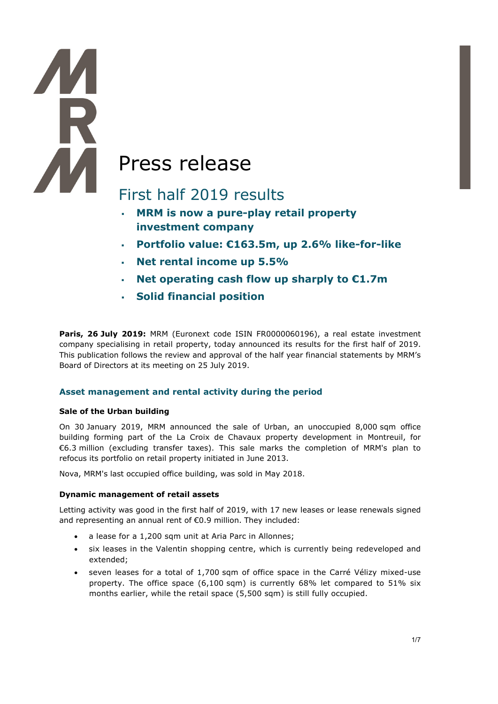# All Press release

## First half 2019 results

- **MRM is now a pure-play retail property investment company**
- **Portfolio value: €163.5m, up 2.6% like-for-like**
- **Net rental income up 5.5%**
- **Net operating cash flow up sharply to €1.7m**
- **Solid financial position**

**Paris, 26 July 2019:** MRM (Euronext code ISIN FR0000060196), a real estate investment company specialising in retail property, today announced its results for the first half of 2019. This publication follows the review and approval of the half year financial statements by MRM's Board of Directors at its meeting on 25 July 2019.

#### **Asset management and rental activity during the period**

#### **Sale of the Urban building**

**THE** 

On 30 January 2019, MRM announced the sale of Urban, an unoccupied 8,000 sqm office building forming part of the La Croix de Chavaux property development in Montreuil, for €6.3 million (excluding transfer taxes). This sale marks the completion of MRM's plan to refocus its portfolio on retail property initiated in June 2013.

Nova, MRM's last occupied office building, was sold in May 2018.

#### **Dynamic management of retail assets**

Letting activity was good in the first half of 2019, with 17 new leases or lease renewals signed and representing an annual rent of €0.9 million. They included:

- a lease for a 1,200 sqm unit at Aria Parc in Allonnes;
- six leases in the Valentin shopping centre, which is currently being redeveloped and extended;
- seven leases for a total of 1,700 sqm of office space in the Carré Vélizy mixed-use property. The office space (6,100 sqm) is currently 68% let compared to 51% six months earlier, while the retail space (5,500 sqm) is still fully occupied.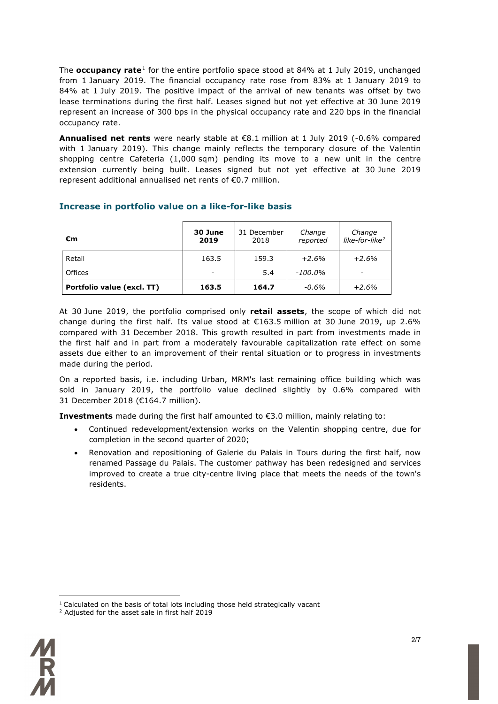The **occupancy rate**[1](#page-1-0) for the entire portfolio space stood at 84% at 1 July 2019, unchanged from 1 January 2019. The financial occupancy rate rose from 83% at 1 January 2019 to 84% at 1 July 2019. The positive impact of the arrival of new tenants was offset by two lease terminations during the first half. Leases signed but not yet effective at 30 June 2019 represent an increase of 300 bps in the physical occupancy rate and 220 bps in the financial occupancy rate.

**Annualised net rents** were nearly stable at €8.1 million at 1 July 2019 (-0.6% compared with 1 January 2019). This change mainly reflects the temporary closure of the Valentin shopping centre Cafeteria (1,000 sqm) pending its move to a new unit in the centre extension currently being built. Leases signed but not yet effective at 30 June 2019 represent additional annualised net rents of €0.7 million.

| €m                         | 30 June<br>2019          | 31 December<br>2018 | Change<br>reported | Change<br>like-for-like <sup>2</sup> |
|----------------------------|--------------------------|---------------------|--------------------|--------------------------------------|
| Retail                     | 163.5                    | 159.3               | $+2.6%$            | $+2.6%$                              |
| Offices                    | $\overline{\phantom{a}}$ | 5.4                 | $-100.0\%$         | -                                    |
| Portfolio value (excl. TT) | 163.5                    | 164.7               | $-0.6\%$           | $+2.6%$                              |

#### **Increase in portfolio value on a like-for-like basis**

At 30 June 2019, the portfolio comprised only **retail assets**, the scope of which did not change during the first half. Its value stood at  $\epsilon$ 163.5 million at 30 June 2019, up 2.6% compared with 31 December 2018. This growth resulted in part from investments made in the first half and in part from a moderately favourable capitalization rate effect on some assets due either to an improvement of their rental situation or to progress in investments made during the period.

On a reported basis, i.e. including Urban, MRM's last remaining office building which was sold in January 2019, the portfolio value declined slightly by 0.6% compared with 31 December 2018 (€164.7 million).

**Investments** made during the first half amounted to €3.0 million, mainly relating to:

- Continued redevelopment/extension works on the Valentin shopping centre, due for completion in the second quarter of 2020;
- Renovation and repositioning of Galerie du Palais in Tours during the first half, now renamed Passage du Palais. The customer pathway has been redesigned and services improved to create a true city-centre living place that meets the needs of the town's residents.

<span id="page-1-1"></span><span id="page-1-0"></span><sup>&</sup>lt;sup>2</sup> Adjusted for the asset sale in first half 2019



<sup>&</sup>lt;u>.</u>  $<sup>1</sup>$  Calculated on the basis of total lots including those held strategically vacant</sup>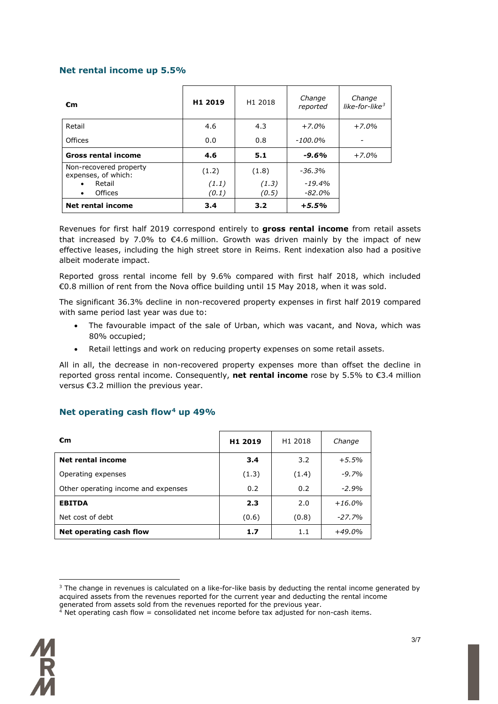#### **Net rental income up 5.5%**

| €m                                                                                           | H1 2019                 | H1 2018                 | Change<br>reported                 | Change<br>like-for-like $3$ |
|----------------------------------------------------------------------------------------------|-------------------------|-------------------------|------------------------------------|-----------------------------|
| Retail                                                                                       | 4.6                     | 4.3                     | $+7.0%$                            | $+7.0%$                     |
| Offices                                                                                      | 0.0                     | 0.8                     | $-100.0\%$                         | -                           |
| <b>Gross rental income</b>                                                                   | 4.6                     | 5.1                     | $-9.6%$                            | $+7.0%$                     |
| Non-recovered property<br>expenses, of which:<br>Retail<br>$\bullet$<br>Offices<br>$\bullet$ | (1.2)<br>(1.1)<br>(0.1) | (1.8)<br>(1.3)<br>(0.5) | $-36.3%$<br>$-19.4\%$<br>$-82.0\%$ |                             |
| <b>Net rental income</b>                                                                     | 3.4                     | 3.2                     | $+5.5%$                            |                             |

Revenues for first half 2019 correspond entirely to **gross rental income** from retail assets that increased by 7.0% to  $\epsilon$ 4.6 million. Growth was driven mainly by the impact of new effective leases, including the high street store in Reims. Rent indexation also had a positive albeit moderate impact.

Reported gross rental income fell by 9.6% compared with first half 2018, which included €0.8 million of rent from the Nova office building until 15 May 2018, when it was sold.

The significant 36.3% decline in non-recovered property expenses in first half 2019 compared with same period last year was due to:

- The favourable impact of the sale of Urban, which was vacant, and Nova, which was 80% occupied;
- Retail lettings and work on reducing property expenses on some retail assets.

All in all, the decrease in non-recovered property expenses more than offset the decline in reported gross rental income. Consequently, **net rental income** rose by 5.5% to €3.4 million versus €3.2 million the previous year.

#### **Net operating cash flow[4](#page-2-0) up 49%**

| €m                                  | H1 2019 | H1 2018 | Change    |
|-------------------------------------|---------|---------|-----------|
| <b>Net rental income</b>            | 3.4     | 3.2     | $+5.5%$   |
| Operating expenses                  | (1.3)   | (1.4)   | $-9.7%$   |
| Other operating income and expenses | 0.2     | 0.2     | $-2.9%$   |
| <b>EBITDA</b>                       | 2.3     | 2.0     | $+16.0\%$ |
| Net cost of debt                    | (0.6)   | (0.8)   | $-27.7%$  |
| Net operating cash flow             | 1.7     | 1.1     | $+49.0\%$ |

<sup>&</sup>lt;u>.</u> <sup>3</sup> The change in revenues is calculated on a like-for-like basis by deducting the rental income generated by acquired assets from the revenues reported for the current year and deducting the rental income generated from assets sold from the revenues reported for the previous year.

<span id="page-2-1"></span><span id="page-2-0"></span> $4$  Net operating cash flow = consolidated net income before tax adjusted for non-cash items.

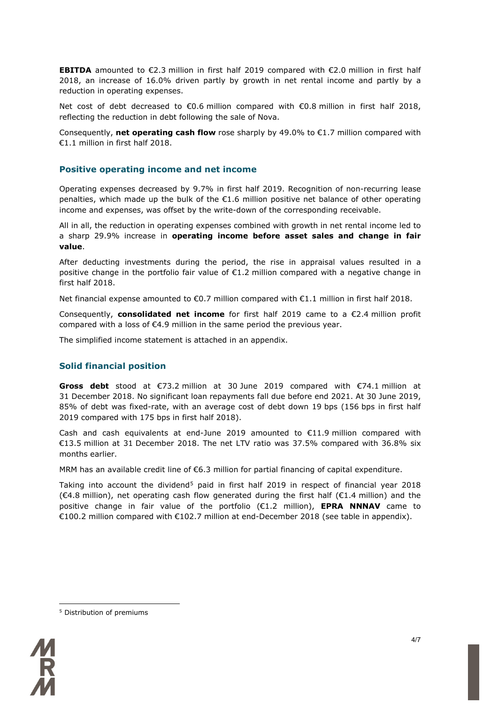**EBITDA** amounted to €2.3 million in first half 2019 compared with €2.0 million in first half 2018, an increase of 16.0% driven partly by growth in net rental income and partly by a reduction in operating expenses.

Net cost of debt decreased to €0.6 million compared with €0.8 million in first half 2018, reflecting the reduction in debt following the sale of Nova.

Consequently, **net operating cash flow** rose sharply by 49.0% to €1.7 million compared with €1.1 million in first half 2018.

#### **Positive operating income and net income**

Operating expenses decreased by 9.7% in first half 2019. Recognition of non-recurring lease penalties, which made up the bulk of the  $\epsilon$ 1.6 million positive net balance of other operating income and expenses, was offset by the write-down of the corresponding receivable.

All in all, the reduction in operating expenses combined with growth in net rental income led to a sharp 29.9% increase in **operating income before asset sales and change in fair value**.

After deducting investments during the period, the rise in appraisal values resulted in a positive change in the portfolio fair value of €1.2 million compared with a negative change in first half 2018.

Net financial expense amounted to €0.7 million compared with €1.1 million in first half 2018.

Consequently, **consolidated net income** for first half 2019 came to a €2.4 million profit compared with a loss of €4.9 million in the same period the previous year.

The simplified income statement is attached in an appendix.

#### **Solid financial position**

**Gross debt** stood at €73.2 million at 30 June 2019 compared with €74.1 million at 31 December 2018. No significant loan repayments fall due before end 2021. At 30 June 2019, 85% of debt was fixed-rate, with an average cost of debt down 19 bps (156 bps in first half 2019 compared with 175 bps in first half 2018).

Cash and cash equivalents at end-June 2019 amounted to  $\epsilon$ 11.9 million compared with €13.5 million at 31 December 2018. The net LTV ratio was 37.5% compared with 36.8% six months earlier.

MRM has an available credit line of €6.3 million for partial financing of capital expenditure.

Taking into account the dividend<sup>5</sup> paid in first half 2019 in respect of financial year 2018 (€4.8 million), net operating cash flow generated during the first half (€1.4 million) and the positive change in fair value of the portfolio (€1.2 million), **EPRA NNNAV** came to €100.2 million compared with €102.7 million at end-December 2018 (see table in appendix).

<span id="page-3-0"></span><sup>&</sup>lt;u>.</u> <sup>5</sup> Distribution of premiums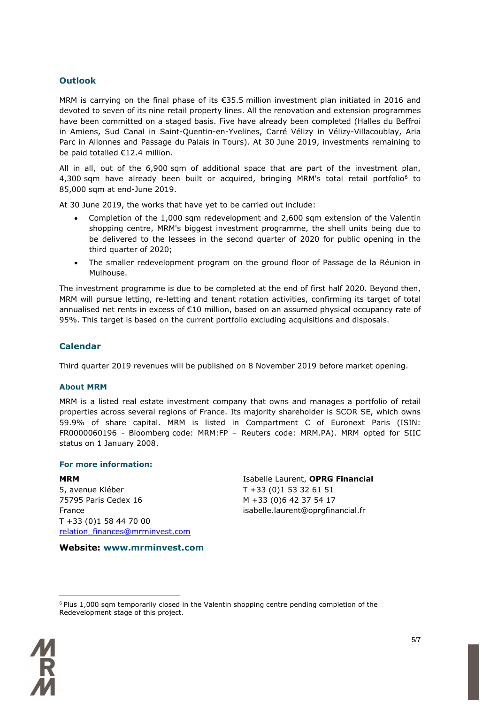#### **Outlook**

MRM is carrying on the final phase of its €35.5 million investment plan initiated in 2016 and devoted to seven of its nine retail property lines. All the renovation and extension programmes have been committed on a staged basis. Five have already been completed (Halles du Beffroi in Amiens, Sud Canal in Saint-Quentin-en-Yvelines, Carré Vélizy in Vélizy-Villacoublay, Aria Parc in Allonnes and Passage du Palais in Tours). At 30 June 2019, investments remaining to be paid totalled €12.4 million.

All in all, out of the 6,900 sqm of additional space that are part of the investment plan, 4,300 sqm have already been built or acquired, bringing MRM's total retail portfolio<sup>[6](#page-4-0)</sup> to 85,000 sqm at end-June 2019.

At 30 June 2019, the works that have yet to be carried out include:

- Completion of the 1,000 sqm redevelopment and 2,600 sqm extension of the Valentin shopping centre, MRM's biggest investment programme, the shell units being due to be delivered to the lessees in the second quarter of 2020 for public opening in the third quarter of 2020;
- The smaller redevelopment program on the ground floor of Passage de la Réunion in Mulhouse.

The investment programme is due to be completed at the end of first half 2020. Beyond then, MRM will pursue letting, re-letting and tenant rotation activities, confirming its target of total annualised net rents in excess of €10 million, based on an assumed physical occupancy rate of 95%. This target is based on the current portfolio excluding acquisitions and disposals.

#### **Calendar**

Third quarter 2019 revenues will be published on 8 November 2019 before market opening.

#### **About MRM**

MRM is a listed real estate investment company that owns and manages a portfolio of retail properties across several regions of France. Its majority shareholder is SCOR SE, which owns 59.9% of share capital. MRM is listed in Compartment C of Euronext Paris (ISIN: FR0000060196 - Bloomberg code: MRM:FP – Reuters code: MRM.PA). MRM opted for SIIC status on 1 January 2008.

#### **For more information:**

**MRM** 5, avenue Kléber 75795 Paris Cedex 16 France T +33 (0)1 58 44 70 00 [relation\\_finances@mrminvest.com](mailto:relation_finances@mrminvest.com) Isabelle Laurent, **OPRG Financial** T +33 (0)1 53 32 61 51 M +33 (0)6 42 37 54 17 isabelle.laurent@oprgfinancial.fr

**Website: www.mrminvest.com**

<span id="page-4-0"></span><sup>&</sup>lt;u>.</u>  $6$  Plus 1,000 sqm temporarily closed in the Valentin shopping centre pending completion of the Redevelopment stage of this project.

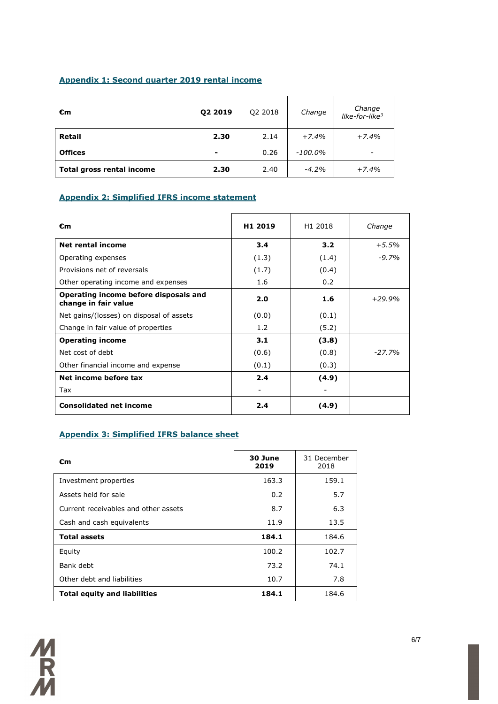#### **Appendix 1: Second quarter 2019 rental income**

| €m                        | 02 2019 | Q2 2018 | Change     | Change<br>like-for-like <sup>3</sup> |
|---------------------------|---------|---------|------------|--------------------------------------|
| Retail                    | 2.30    | 2.14    | $+7.4%$    | $+7.4%$                              |
| <b>Offices</b>            | -       | 0.26    | $-100.0\%$ | $\overline{\phantom{0}}$             |
| Total gross rental income | 2.30    | 2.40    | $-4.2%$    | $+7.4%$                              |

#### **Appendix 2: Simplified IFRS income statement**

| €m                                                            | H <sub>1</sub> 2019 | H <sub>1</sub> 2018 | Change   |
|---------------------------------------------------------------|---------------------|---------------------|----------|
| Net rental income                                             | 3.4                 | 3.2                 | $+5.5\%$ |
| Operating expenses                                            | (1.3)               | (1.4)               | $-9.7%$  |
| Provisions net of reversals                                   | (1.7)               | (0.4)               |          |
| Other operating income and expenses                           | 1.6                 | 0.2                 |          |
| Operating income before disposals and<br>change in fair value | 2.0                 | 1.6                 | $+29.9%$ |
| Net gains/(losses) on disposal of assets                      | (0.0)               | (0.1)               |          |
| Change in fair value of properties                            | 1.2                 | (5.2)               |          |
| <b>Operating income</b>                                       | 3.1                 | (3.8)               |          |
| Net cost of debt                                              | (0.6)               | (0.8)               | $-27.7%$ |
| Other financial income and expense                            | (0.1)               | (0.3)               |          |
| Net income before tax                                         | 2.4                 | (4.9)               |          |
| Tax                                                           |                     |                     |          |
| <b>Consolidated net income</b>                                | 2.4                 | (4.9)               |          |

#### **Appendix 3: Simplified IFRS balance sheet**

| €m                                   | 30 June<br>2019 | 31 December<br>2018 |
|--------------------------------------|-----------------|---------------------|
| Investment properties                | 163.3           | 159.1               |
| Assets held for sale                 | 0.2             | 5.7                 |
| Current receivables and other assets | 8.7             | 6.3                 |
| Cash and cash equivalents            | 11.9            | 13.5                |
| <b>Total assets</b>                  | 184.1           | 184.6               |
| Equity                               | 100.2           | 102.7               |
| Bank debt                            | 73.2            | 74.1                |
| Other debt and liabilities           | 10.7            | 7.8                 |
| <b>Total equity and liabilities</b>  | 184.1           | 184.6               |